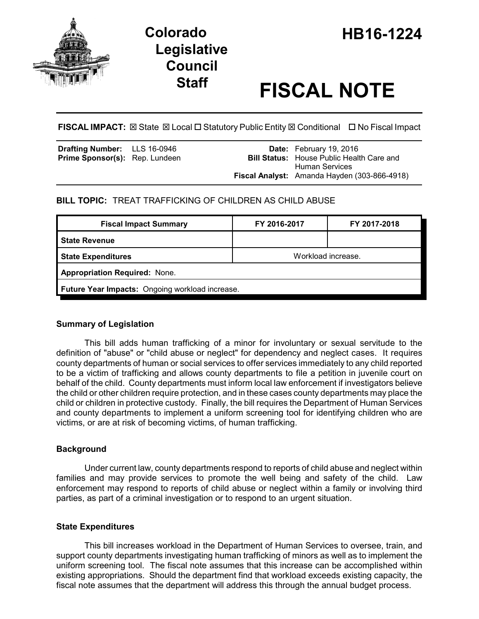

# **Legislative Council**

# **Staff FISCAL NOTE**

**FISCAL IMPACT:** ⊠ State ⊠ Local □ Statutory Public Entity ⊠ Conditional □ No Fiscal Impact

| <b>Drafting Number:</b> LLS 16-0946   |  | <b>Date:</b> February 19, 2016                                            |
|---------------------------------------|--|---------------------------------------------------------------------------|
| <b>Prime Sponsor(s):</b> Rep. Lundeen |  | <b>Bill Status:</b> House Public Health Care and<br><b>Human Services</b> |
|                                       |  | <b>Fiscal Analyst:</b> Amanda Hayden (303-866-4918)                       |

# **BILL TOPIC:** TREAT TRAFFICKING OF CHILDREN AS CHILD ABUSE

| <b>Fiscal Impact Summary</b>                    | FY 2016-2017       | FY 2017-2018 |  |  |  |
|-------------------------------------------------|--------------------|--------------|--|--|--|
| <b>State Revenue</b>                            |                    |              |  |  |  |
| <b>State Expenditures</b>                       | Workload increase. |              |  |  |  |
| <b>Appropriation Required: None.</b>            |                    |              |  |  |  |
| Future Year Impacts: Ongoing workload increase. |                    |              |  |  |  |

## **Summary of Legislation**

This bill adds human trafficking of a minor for involuntary or sexual servitude to the definition of "abuse" or "child abuse or neglect" for dependency and neglect cases. It requires county departments of human or social services to offer services immediately to any child reported to be a victim of trafficking and allows county departments to file a petition in juvenile court on behalf of the child. County departments must inform local law enforcement if investigators believe the child or other children require protection, and in these cases county departments may place the child or children in protective custody. Finally, the bill requires the Department of Human Services and county departments to implement a uniform screening tool for identifying children who are victims, or are at risk of becoming victims, of human trafficking.

## **Background**

Under current law, county departments respond to reports of child abuse and neglect within families and may provide services to promote the well being and safety of the child. Law enforcement may respond to reports of child abuse or neglect within a family or involving third parties, as part of a criminal investigation or to respond to an urgent situation.

## **State Expenditures**

This bill increases workload in the Department of Human Services to oversee, train, and support county departments investigating human trafficking of minors as well as to implement the uniform screening tool. The fiscal note assumes that this increase can be accomplished within existing appropriations. Should the department find that workload exceeds existing capacity, the fiscal note assumes that the department will address this through the annual budget process.